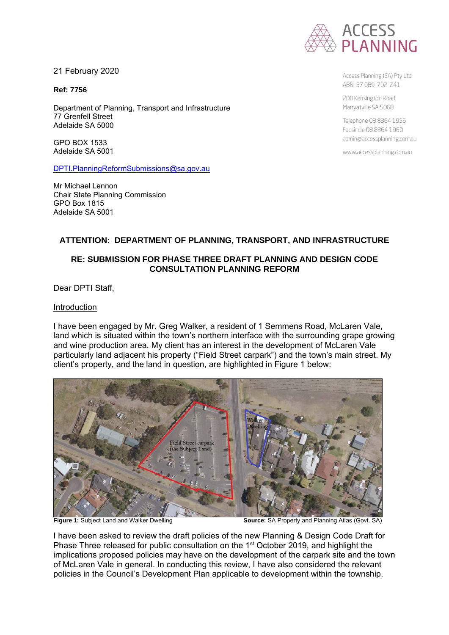

21 February 2020

**Ref: 7756**

Department of Planning, Transport and Infrastructure 77 Grenfell Street Adelaide SA 5000

GPO BOX 1533 Adelaide SA 5001

[DPTI.PlanningReformSubmissions@sa.gov.au](mailto:DPTI.PlanningReformSubmissions@sa.gov.au)

Mr Michael Lennon Chair State Planning Commission GPO Box 1815 Adelaide SA 5001

Access Planning (SA) Pty Ltd ABN 57089 702 241

200 Kensington Road Marryatville SA 5068

Telephone 08 8364 1956 Facsimile 08 8364 1960 admin@accessplanning.com.au

www.accessplanning.com.au

## **ATTENTION: DEPARTMENT OF PLANNING, TRANSPORT, AND INFRASTRUCTURE**

# **RE: SUBMISSION FOR PHASE THREE DRAFT PLANNING AND DESIGN CODE CONSULTATION PLANNING REFORM**

Dear DPTI Staff,

### Introduction

I have been engaged by Mr. Greg Walker, a resident of 1 Semmens Road, McLaren Vale, land which is situated within the town's northern interface with the surrounding grape growing and wine production area. My client has an interest in the development of McLaren Vale particularly land adjacent his property ("Field Street carpark") and the town's main street. My client's property, and the land in question, are highlighted in Figure 1 below:



**Figure 1:** Subject Land and Walker Dwelling **Source:** SA Property and Planning Atlas (Govt. SA)

I have been asked to review the draft policies of the new Planning & Design Code Draft for Phase Three released for public consultation on the 1<sup>st</sup> October 2019, and highlight the implications proposed policies may have on the development of the carpark site and the town of McLaren Vale in general. In conducting this review, I have also considered the relevant policies in the Council's Development Plan applicable to development within the township.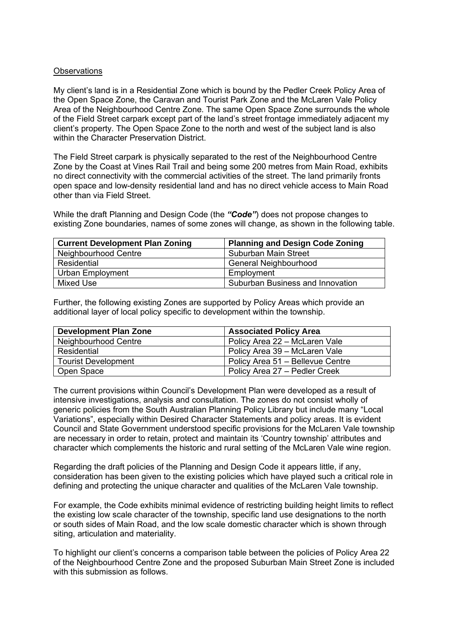### **Observations**

My client's land is in a Residential Zone which is bound by the Pedler Creek Policy Area of the Open Space Zone, the Caravan and Tourist Park Zone and the McLaren Vale Policy Area of the Neighbourhood Centre Zone. The same Open Space Zone surrounds the whole of the Field Street carpark except part of the land's street frontage immediately adjacent my client's property. The Open Space Zone to the north and west of the subject land is also within the Character Preservation District

The Field Street carpark is physically separated to the rest of the Neighbourhood Centre Zone by the Coast at Vines Rail Trail and being some 200 metres from Main Road, exhibits no direct connectivity with the commercial activities of the street. The land primarily fronts open space and low-density residential land and has no direct vehicle access to Main Road other than via Field Street.

While the draft Planning and Design Code (the *"Code"*) does not propose changes to existing Zone boundaries, names of some zones will change, as shown in the following table.

| <b>Current Development Plan Zoning</b> | <b>Planning and Design Code Zoning</b>  |
|----------------------------------------|-----------------------------------------|
| Neighbourhood Centre                   | <b>Suburban Main Street</b>             |
| Residential                            | <b>General Neighbourhood</b>            |
| Urban Employment                       | Employment                              |
| Mixed Use                              | <b>Suburban Business and Innovation</b> |

Further, the following existing Zones are supported by Policy Areas which provide an additional layer of local policy specific to development within the township.

| <b>Development Plan Zone</b> | <b>Associated Policy Area</b>    |
|------------------------------|----------------------------------|
| Neighbourhood Centre         | Policy Area 22 - McLaren Vale    |
| Residential                  | Policy Area 39 – McLaren Vale    |
| <b>Tourist Development</b>   | Policy Area 51 - Bellevue Centre |
| Open Space                   | Policy Area 27 - Pedler Creek    |

The current provisions within Council's Development Plan were developed as a result of intensive investigations, analysis and consultation. The zones do not consist wholly of generic policies from the South Australian Planning Policy Library but include many "Local Variations", especially within Desired Character Statements and policy areas. It is evident Council and State Government understood specific provisions for the McLaren Vale township are necessary in order to retain, protect and maintain its 'Country township' attributes and character which complements the historic and rural setting of the McLaren Vale wine region.

Regarding the draft policies of the Planning and Design Code it appears little, if any, consideration has been given to the existing policies which have played such a critical role in defining and protecting the unique character and qualities of the McLaren Vale township.

For example, the Code exhibits minimal evidence of restricting building height limits to reflect the existing low scale character of the township, specific land use designations to the north or south sides of Main Road, and the low scale domestic character which is shown through siting, articulation and materiality.

To highlight our client's concerns a comparison table between the policies of Policy Area 22 of the Neighbourhood Centre Zone and the proposed Suburban Main Street Zone is included with this submission as follows.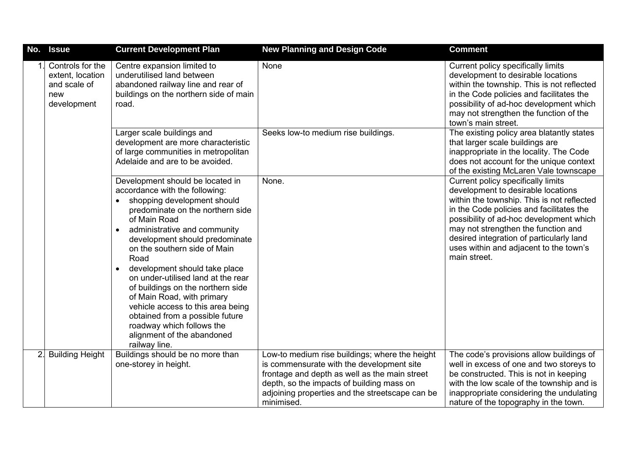| No. | <b>Issue</b>                                                               | <b>Current Development Plan</b>                                                                                                                                                                                                                                                                                                                                                                                                                                                                                                                                                                      | <b>New Planning and Design Code</b>                                                                                                                                                                                                                        | <b>Comment</b>                                                                                                                                                                                                                                                                                                                                             |
|-----|----------------------------------------------------------------------------|------------------------------------------------------------------------------------------------------------------------------------------------------------------------------------------------------------------------------------------------------------------------------------------------------------------------------------------------------------------------------------------------------------------------------------------------------------------------------------------------------------------------------------------------------------------------------------------------------|------------------------------------------------------------------------------------------------------------------------------------------------------------------------------------------------------------------------------------------------------------|------------------------------------------------------------------------------------------------------------------------------------------------------------------------------------------------------------------------------------------------------------------------------------------------------------------------------------------------------------|
|     | Controls for the<br>extent, location<br>and scale of<br>new<br>development | Centre expansion limited to<br>underutilised land between<br>abandoned railway line and rear of<br>buildings on the northern side of main<br>road.                                                                                                                                                                                                                                                                                                                                                                                                                                                   | None                                                                                                                                                                                                                                                       | Current policy specifically limits<br>development to desirable locations<br>within the township. This is not reflected<br>in the Code policies and facilitates the<br>possibility of ad-hoc development which<br>may not strengthen the function of the<br>town's main street.                                                                             |
|     |                                                                            | Larger scale buildings and<br>development are more characteristic<br>of large communities in metropolitan<br>Adelaide and are to be avoided.                                                                                                                                                                                                                                                                                                                                                                                                                                                         | Seeks low-to medium rise buildings.                                                                                                                                                                                                                        | The existing policy area blatantly states<br>that larger scale buildings are<br>inappropriate in the locality. The Code<br>does not account for the unique context<br>of the existing McLaren Vale townscape                                                                                                                                               |
|     |                                                                            | Development should be located in<br>accordance with the following:<br>shopping development should<br>$\bullet$<br>predominate on the northern side<br>of Main Road<br>administrative and community<br>$\bullet$<br>development should predominate<br>on the southern side of Main<br>Road<br>development should take place<br>$\bullet$<br>on under-utilised land at the rear<br>of buildings on the northern side<br>of Main Road, with primary<br>vehicle access to this area being<br>obtained from a possible future<br>roadway which follows the<br>alignment of the abandoned<br>railway line. | None.                                                                                                                                                                                                                                                      | Current policy specifically limits<br>development to desirable locations<br>within the township. This is not reflected<br>in the Code policies and facilitates the<br>possibility of ad-hoc development which<br>may not strengthen the function and<br>desired integration of particularly land<br>uses within and adjacent to the town's<br>main street. |
| 2.  | <b>Building Height</b>                                                     | Buildings should be no more than<br>one-storey in height.                                                                                                                                                                                                                                                                                                                                                                                                                                                                                                                                            | Low-to medium rise buildings; where the height<br>is commensurate with the development site<br>frontage and depth as well as the main street<br>depth, so the impacts of building mass on<br>adjoining properties and the streetscape can be<br>minimised. | The code's provisions allow buildings of<br>well in excess of one and two storeys to<br>be constructed. This is not in keeping<br>with the low scale of the township and is<br>inappropriate considering the undulating<br>nature of the topography in the town.                                                                                           |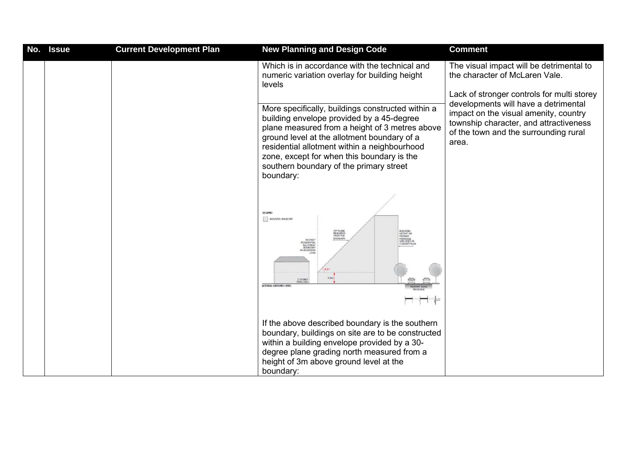| No. | <b>Issue</b> | <b>Current Development Plan</b> | <b>New Planning and Design Code</b>                                                                                                                                                                                                                                                                                                                   | <b>Comment</b>                                                                                                                                                                                                                                                                                        |
|-----|--------------|---------------------------------|-------------------------------------------------------------------------------------------------------------------------------------------------------------------------------------------------------------------------------------------------------------------------------------------------------------------------------------------------------|-------------------------------------------------------------------------------------------------------------------------------------------------------------------------------------------------------------------------------------------------------------------------------------------------------|
|     |              |                                 | Which is in accordance with the technical and<br>numeric variation overlay for building height<br>levels                                                                                                                                                                                                                                              | The visual impact will be detrimental to<br>the character of McLaren Vale.<br>Lack of stronger controls for multi storey<br>developments will have a detrimental<br>impact on the visual amenity, country<br>township character, and attractiveness<br>of the town and the surrounding rural<br>area. |
|     |              |                                 | More specifically, buildings constructed within a<br>building envelope provided by a 45-degree<br>plane measured from a height of 3 metres above<br>ground level at the allotment boundary of a<br>residential allotment within a neighbourhood<br>zone, except for when this boundary is the<br>southern boundary of the primary street<br>boundary: |                                                                                                                                                                                                                                                                                                       |
|     |              |                                 | LEGEND<br><b>BUILDING ENVILOPE</b><br>459 PLANE<br>MEASURED<br>FROM THE<br>BOUNDARY<br>BUSLDING<br>FRONTAGE<br>SPECIFIED IN<br>MEAREST<br>CONCERT PLAN<br>IN ADJODEN<br>3.00<br><b>S STORES</b><br><b>ATURAL GROUND LEVEL</b><br>$\overline{1}$ $\overline{1}$                                                                                        |                                                                                                                                                                                                                                                                                                       |
|     |              |                                 | If the above described boundary is the southern<br>boundary, buildings on site are to be constructed<br>within a building envelope provided by a 30-<br>degree plane grading north measured from a<br>height of 3m above ground level at the<br>boundary:                                                                                             |                                                                                                                                                                                                                                                                                                       |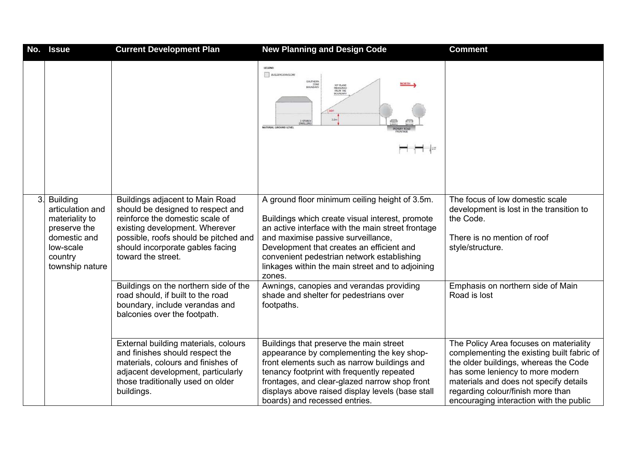| No. | <b>Issue</b>                                                                                                                     | <b>Current Development Plan</b>                                                                                                                                                                                                              | <b>New Planning and Design Code</b>                                                                                                                                                                                                                                                                                                                   | <b>Comment</b>                                                                                                                                                                                                                                                                              |
|-----|----------------------------------------------------------------------------------------------------------------------------------|----------------------------------------------------------------------------------------------------------------------------------------------------------------------------------------------------------------------------------------------|-------------------------------------------------------------------------------------------------------------------------------------------------------------------------------------------------------------------------------------------------------------------------------------------------------------------------------------------------------|---------------------------------------------------------------------------------------------------------------------------------------------------------------------------------------------------------------------------------------------------------------------------------------------|
|     |                                                                                                                                  |                                                                                                                                                                                                                                              | LEGEND<br><b>BULLING ENVELOPE</b><br>OUTHERN<br>ZON<br>BOUNDAR<br>30° PLANE<br>MEASURED<br>FROM THE<br>BOUNDARY<br>3.5m<br><b>NATURAL GROUND LEVEL</b><br>⊣ ⊯                                                                                                                                                                                         |                                                                                                                                                                                                                                                                                             |
| 3.  | <b>Building</b><br>articulation and<br>materiality to<br>preserve the<br>domestic and<br>low-scale<br>country<br>township nature | Buildings adjacent to Main Road<br>should be designed to respect and<br>reinforce the domestic scale of<br>existing development. Wherever<br>possible, roofs should be pitched and<br>should incorporate gables facing<br>toward the street. | A ground floor minimum ceiling height of 3.5m.<br>Buildings which create visual interest, promote<br>an active interface with the main street frontage<br>and maximise passive surveillance,<br>Development that creates an efficient and<br>convenient pedestrian network establishing<br>linkages within the main street and to adjoining<br>zones. | The focus of low domestic scale<br>development is lost in the transition to<br>the Code.<br>There is no mention of roof<br>style/structure.                                                                                                                                                 |
|     |                                                                                                                                  | Buildings on the northern side of the<br>road should, if built to the road<br>boundary, include verandas and<br>balconies over the footpath.                                                                                                 | Awnings, canopies and verandas providing<br>shade and shelter for pedestrians over<br>footpaths.                                                                                                                                                                                                                                                      | Emphasis on northern side of Main<br>Road is lost                                                                                                                                                                                                                                           |
|     |                                                                                                                                  | External building materials, colours<br>and finishes should respect the<br>materials, colours and finishes of<br>adjacent development, particularly<br>those traditionally used on older<br>buildings.                                       | Buildings that preserve the main street<br>appearance by complementing the key shop-<br>front elements such as narrow buildings and<br>tenancy footprint with frequently repeated<br>frontages, and clear-glazed narrow shop front<br>displays above raised display levels (base stall<br>boards) and recessed entries.                               | The Policy Area focuses on materiality<br>complementing the existing built fabric of<br>the older buildings, whereas the Code<br>has some leniency to more modern<br>materials and does not specify details<br>regarding colour/finish more than<br>encouraging interaction with the public |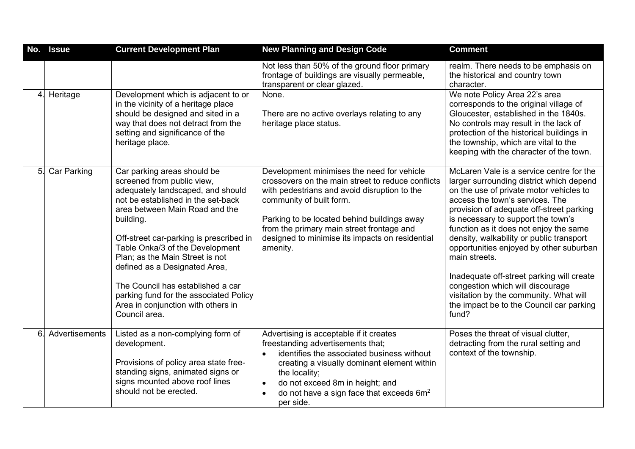|                | No. Issue          | <b>Current Development Plan</b>                                                                                                                                                                                                                                                                                                                                                                                                                                             | <b>New Planning and Design Code</b>                                                                                                                                                                                                                                                                                                    | <b>Comment</b>                                                                                                                                                                                                                                                                                                                                                                                                                                                                                                                                                                         |
|----------------|--------------------|-----------------------------------------------------------------------------------------------------------------------------------------------------------------------------------------------------------------------------------------------------------------------------------------------------------------------------------------------------------------------------------------------------------------------------------------------------------------------------|----------------------------------------------------------------------------------------------------------------------------------------------------------------------------------------------------------------------------------------------------------------------------------------------------------------------------------------|----------------------------------------------------------------------------------------------------------------------------------------------------------------------------------------------------------------------------------------------------------------------------------------------------------------------------------------------------------------------------------------------------------------------------------------------------------------------------------------------------------------------------------------------------------------------------------------|
|                |                    |                                                                                                                                                                                                                                                                                                                                                                                                                                                                             | Not less than 50% of the ground floor primary<br>frontage of buildings are visually permeable,<br>transparent or clear glazed.                                                                                                                                                                                                         | realm. There needs to be emphasis on<br>the historical and country town<br>character.                                                                                                                                                                                                                                                                                                                                                                                                                                                                                                  |
| 4.             | Heritage           | Development which is adjacent to or<br>in the vicinity of a heritage place<br>should be designed and sited in a<br>way that does not detract from the<br>setting and significance of the<br>heritage place.                                                                                                                                                                                                                                                                 | None.<br>There are no active overlays relating to any<br>heritage place status.                                                                                                                                                                                                                                                        | We note Policy Area 22's area<br>corresponds to the original village of<br>Gloucester, established in the 1840s.<br>No controls may result in the lack of<br>protection of the historical buildings in<br>the township, which are vital to the<br>keeping with the character of the town.                                                                                                                                                                                                                                                                                              |
| 5.             | <b>Car Parking</b> | Car parking areas should be<br>screened from public view,<br>adequately landscaped, and should<br>not be established in the set-back<br>area between Main Road and the<br>building.<br>Off-street car-parking is prescribed in<br>Table Onka/3 of the Development<br>Plan; as the Main Street is not<br>defined as a Designated Area,<br>The Council has established a car<br>parking fund for the associated Policy<br>Area in conjunction with others in<br>Council area. | Development minimises the need for vehicle<br>crossovers on the main street to reduce conflicts<br>with pedestrians and avoid disruption to the<br>community of built form.<br>Parking to be located behind buildings away<br>from the primary main street frontage and<br>designed to minimise its impacts on residential<br>amenity. | McLaren Vale is a service centre for the<br>larger surrounding district which depend<br>on the use of private motor vehicles to<br>access the town's services. The<br>provision of adequate off-street parking<br>is necessary to support the town's<br>function as it does not enjoy the same<br>density, walkability or public transport<br>opportunities enjoyed by other suburban<br>main streets.<br>Inadequate off-street parking will create<br>congestion which will discourage<br>visitation by the community. What will<br>the impact be to the Council car parking<br>fund? |
| 6 <sub>1</sub> | Advertisements     | Listed as a non-complying form of<br>development.<br>Provisions of policy area state free-<br>standing signs, animated signs or<br>signs mounted above roof lines<br>should not be erected.                                                                                                                                                                                                                                                                                 | Advertising is acceptable if it creates<br>freestanding advertisements that;<br>identifies the associated business without<br>$\bullet$<br>creating a visually dominant element within<br>the locality;<br>do not exceed 8m in height; and<br>$\bullet$<br>do not have a sign face that exceeds $6m^2$<br>per side.                    | Poses the threat of visual clutter,<br>detracting from the rural setting and<br>context of the township.                                                                                                                                                                                                                                                                                                                                                                                                                                                                               |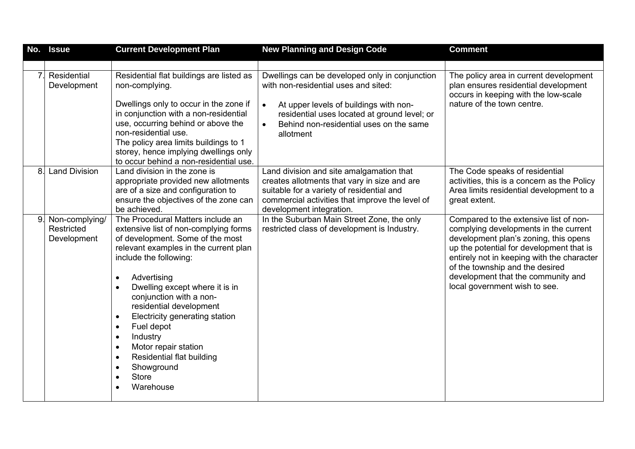| No.            | <b>Issue</b>                                | <b>Current Development Plan</b>                                                                                                                                                                                                                                                                                                                                                                                                                                                                                              | <b>New Planning and Design Code</b>                                                                                                                                                                                                                   | <b>Comment</b>                                                                                                                                                                                                                                                                                                               |
|----------------|---------------------------------------------|------------------------------------------------------------------------------------------------------------------------------------------------------------------------------------------------------------------------------------------------------------------------------------------------------------------------------------------------------------------------------------------------------------------------------------------------------------------------------------------------------------------------------|-------------------------------------------------------------------------------------------------------------------------------------------------------------------------------------------------------------------------------------------------------|------------------------------------------------------------------------------------------------------------------------------------------------------------------------------------------------------------------------------------------------------------------------------------------------------------------------------|
|                |                                             |                                                                                                                                                                                                                                                                                                                                                                                                                                                                                                                              |                                                                                                                                                                                                                                                       |                                                                                                                                                                                                                                                                                                                              |
| 7 <sup>1</sup> | Residential<br>Development                  | Residential flat buildings are listed as<br>non-complying.<br>Dwellings only to occur in the zone if<br>in conjunction with a non-residential<br>use, occurring behind or above the<br>non-residential use.<br>The policy area limits buildings to 1<br>storey, hence implying dwellings only<br>to occur behind a non-residential use.                                                                                                                                                                                      | Dwellings can be developed only in conjunction<br>with non-residential uses and sited:<br>At upper levels of buildings with non-<br>$\bullet$<br>residential uses located at ground level; or<br>Behind non-residential uses on the same<br>allotment | The policy area in current development<br>plan ensures residential development<br>occurs in keeping with the low-scale<br>nature of the town centre.                                                                                                                                                                         |
| 8.             | <b>Land Division</b>                        | Land division in the zone is<br>appropriate provided new allotments<br>are of a size and configuration to<br>ensure the objectives of the zone can<br>be achieved.                                                                                                                                                                                                                                                                                                                                                           | Land division and site amalgamation that<br>creates allotments that vary in size and are<br>suitable for a variety of residential and<br>commercial activities that improve the level of<br>development integration.                                  | The Code speaks of residential<br>activities, this is a concern as the Policy<br>Area limits residential development to a<br>great extent.                                                                                                                                                                                   |
| 9.             | Non-complying/<br>Restricted<br>Development | The Procedural Matters include an<br>extensive list of non-complying forms<br>of development. Some of the most<br>relevant examples in the current plan<br>include the following:<br>Advertising<br>$\bullet$<br>Dwelling except where it is in<br>conjunction with a non-<br>residential development<br>Electricity generating station<br>$\bullet$<br>Fuel depot<br>$\bullet$<br>Industry<br>$\bullet$<br>Motor repair station<br>$\bullet$<br><b>Residential flat building</b><br>Showground<br><b>Store</b><br>Warehouse | In the Suburban Main Street Zone, the only<br>restricted class of development is Industry.                                                                                                                                                            | Compared to the extensive list of non-<br>complying developments in the current<br>development plan's zoning, this opens<br>up the potential for development that is<br>entirely not in keeping with the character<br>of the township and the desired<br>development that the community and<br>local government wish to see. |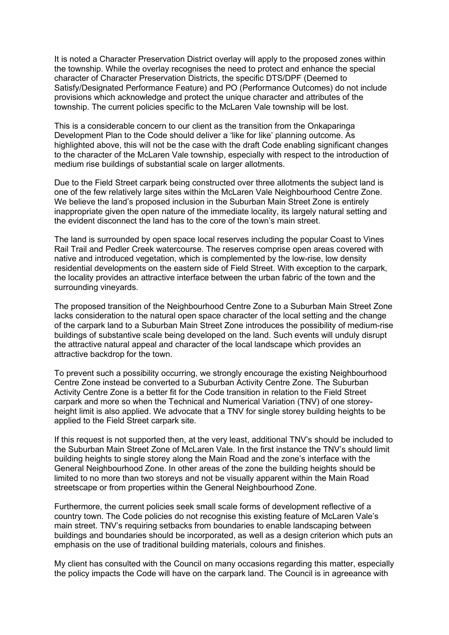It is noted a Character Preservation District overlay will apply to the proposed zones within the township. While the overlay recognises the need to protect and enhance the special character of Character Preservation Districts, the specific DTS/DPF (Deemed to Satisfy/Designated Performance Feature) and PO (Performance Outcomes) do not include provisions which acknowledge and protect the unique character and attributes of the township. The current policies specific to the McLaren Vale township will be lost.

This is a considerable concern to our client as the transition from the Onkaparinga Development Plan to the Code should deliver a 'like for like' planning outcome. As highlighted above, this will not be the case with the draft Code enabling significant changes to the character of the McLaren Vale township, especially with respect to the introduction of medium rise buildings of substantial scale on larger allotments.

Due to the Field Street carpark being constructed over three allotments the subject land is one of the few relatively large sites within the McLaren Vale Neighbourhood Centre Zone. We believe the land's proposed inclusion in the Suburban Main Street Zone is entirely inappropriate given the open nature of the immediate locality, its largely natural setting and the evident disconnect the land has to the core of the town's main street.

The land is surrounded by open space local reserves including the popular Coast to Vines Rail Trail and Pedler Creek watercourse. The reserves comprise open areas covered with native and introduced vegetation, which is complemented by the low-rise, low density residential developments on the eastern side of Field Street. With exception to the carpark, the locality provides an attractive interface between the urban fabric of the town and the surrounding vineyards.

The proposed transition of the Neighbourhood Centre Zone to a Suburban Main Street Zone lacks consideration to the natural open space character of the local setting and the change of the carpark land to a Suburban Main Street Zone introduces the possibility of medium-rise buildings of substantive scale being developed on the land. Such events will unduly disrupt the attractive natural appeal and character of the local landscape which provides an attractive backdrop for the town.

To prevent such a possibility occurring, we strongly encourage the existing Neighbourhood Centre Zone instead be converted to a Suburban Activity Centre Zone. The Suburban Activity Centre Zone is a better fit for the Code transition in relation to the Field Street carpark and more so when the Technical and Numerical Variation (TNV) of one storeyheight limit is also applied. We advocate that a TNV for single storey building heights to be applied to the Field Street carpark site.

If this request is not supported then, at the very least, additional TNV's should be included to the Suburban Main Street Zone of McLaren Vale. In the first instance the TNV's should limit building heights to single storey along the Main Road and the zone's interface with the General Neighbourhood Zone. In other areas of the zone the building heights should be limited to no more than two storeys and not be visually apparent within the Main Road streetscape or from properties within the General Neighbourhood Zone.

Furthermore, the current policies seek small scale forms of development reflective of a country town. The Code policies do not recognise this existing feature of McLaren Vale's main street. TNV's requiring setbacks from boundaries to enable landscaping between buildings and boundaries should be incorporated, as well as a design criterion which puts an emphasis on the use of traditional building materials, colours and finishes.

My client has consulted with the Council on many occasions regarding this matter, especially the policy impacts the Code will have on the carpark land. The Council is in agreeance with